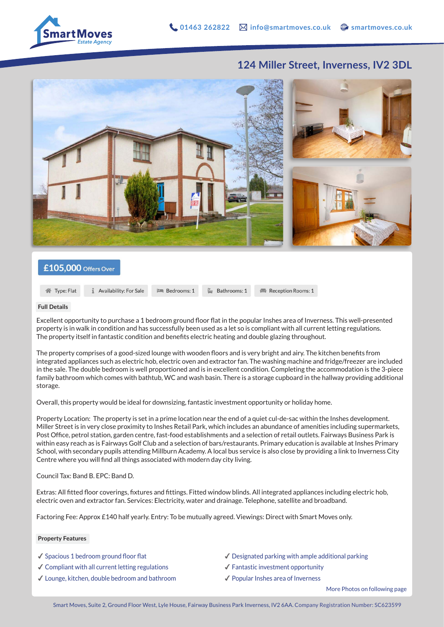

Reception Rooms: 1

## **124 Miller Street, Inverness, IV2 3DL**



## £105,000 Offers Over

**1** Availability: For Sale

**谷** Type: Flat

**Full Details**

Excellent opportunity to purchase a 1 bedroom ground floor flat in the popular Inshes area of Inverness. This well-presented property is in walk in condition and has successfully been used as a let so is compliant with all current letting regulations. The property itself in fantastic condition and benefits electric heating and double glazing throughout.

Bathrooms: 1

The property comprises of a good-sized lounge with wooden floors and is very bright and airy. The kitchen benefits from integrated appliances such as electric hob, electric oven and extractor fan. The washing machine and fridge/freezer are included in the sale. The double bedroom is well proportioned and is in excellent condition. Completing the accommodation is the 3-piece family bathroom which comes with bathtub, WC and wash basin. There is a storage cupboard in the hallway providing additional storage.

Overall, this property would be ideal for downsizing, fantastic investment opportunity or holiday home.

**Em** Bedrooms: 1

Property Location: The property is set in a prime location near the end of a quiet cul-de-sac within the Inshes development. Miller Street is in very close proximity to Inshes Retail Park, which includes an abundance of amenities including supermarkets, Post Office, petrol station, garden centre, fast-food establishments and a selection of retail outlets. Fairways Business Park is within easy reach as is Fairways Golf Club and a selection of bars/restaurants. Primary education is available at Inshes Primary School, with secondary pupils attending Millburn Academy. A local bus service is also close by providing a link to Inverness City Centre where you will find all things associated with modern day city living.

Council Tax: Band B. EPC: Band D.

Extras: All fitted floor coverings, fixtures and fittings. Fitted window blinds. All integrated appliances including electric hob, electric oven and extractor fan. Services: Electricity, water and drainage. Telephone, satellite and broadband.

Factoring Fee: Approx £140 half yearly. Entry: To be mutually agreed. Viewings: Direct with Smart Moves only.

## **Property Features**

- ✔︎ Spacious 1 bedroom ground floor flat
- $\checkmark$  Compliant with all current letting regulations
- ✔︎ Lounge, kitchen, double bedroom and bathroom
- $\triangle$  Designated parking with ample additional parking
- ✔︎ Fantastic investment opportunity
- ✔︎ Popular Inshes area of Inverness

More Photos on following page